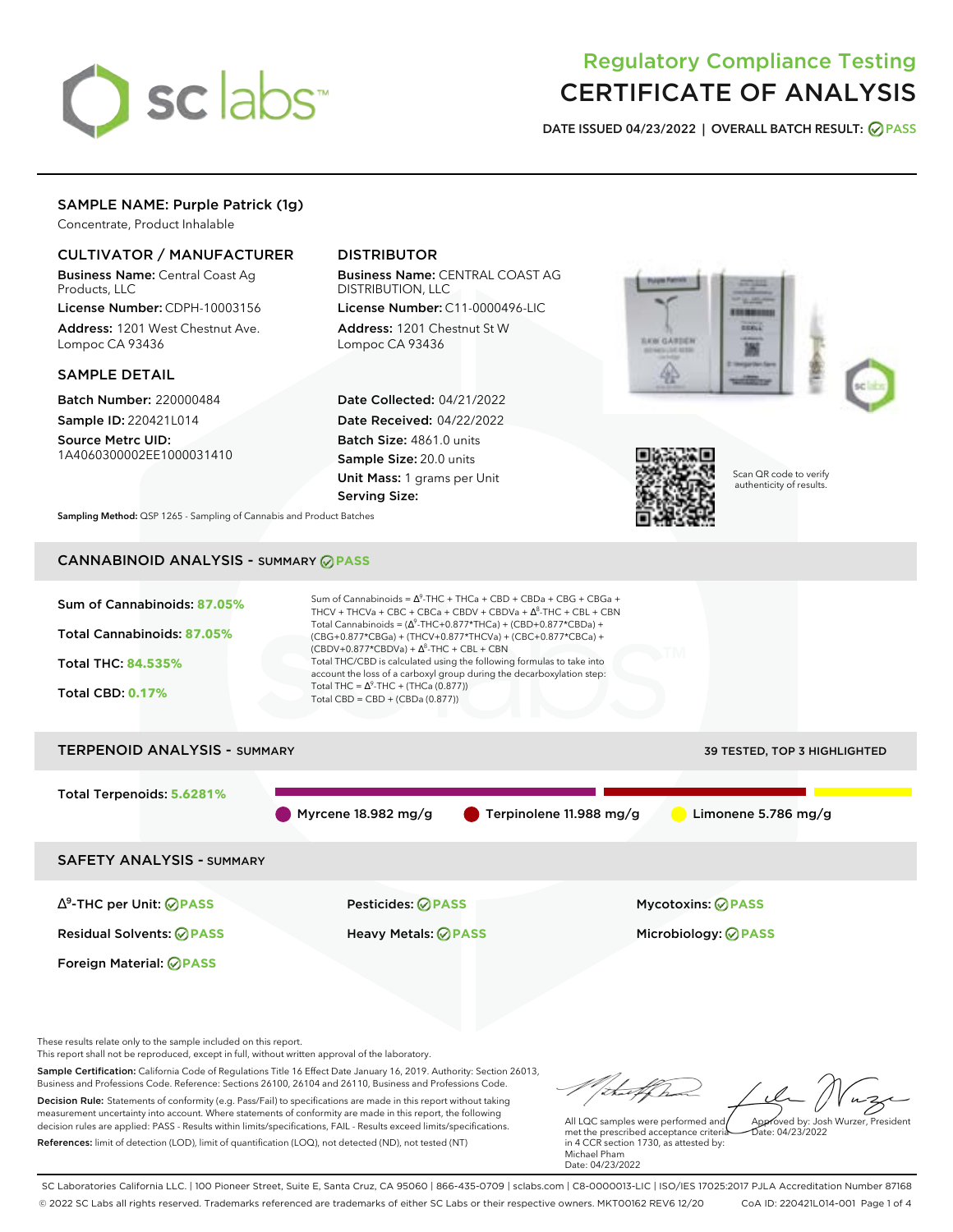

# Regulatory Compliance Testing CERTIFICATE OF ANALYSIS

**DATE ISSUED 04/23/2022 | OVERALL BATCH RESULT: PASS**

# SAMPLE NAME: Purple Patrick (1g)

Concentrate, Product Inhalable

## CULTIVATOR / MANUFACTURER

Business Name: Central Coast Ag Products, LLC

License Number: CDPH-10003156 Address: 1201 West Chestnut Ave. Lompoc CA 93436

### SAMPLE DETAIL

Batch Number: 220000484 Sample ID: 220421L014

Source Metrc UID: 1A4060300002EE1000031410

# DISTRIBUTOR

Business Name: CENTRAL COAST AG DISTRIBUTION, LLC

License Number: C11-0000496-LIC Address: 1201 Chestnut St W Lompoc CA 93436

Date Collected: 04/21/2022 Date Received: 04/22/2022 Batch Size: 4861.0 units Sample Size: 20.0 units Unit Mass: 1 grams per Unit Serving Size:





Scan QR code to verify authenticity of results.

**Sampling Method:** QSP 1265 - Sampling of Cannabis and Product Batches

# CANNABINOID ANALYSIS - SUMMARY **PASS**



Sample Certification: California Code of Regulations Title 16 Effect Date January 16, 2019. Authority: Section 26013, Business and Professions Code. Reference: Sections 26100, 26104 and 26110, Business and Professions Code. Decision Rule: Statements of conformity (e.g. Pass/Fail) to specifications are made in this report without taking measurement uncertainty into account. Where statements of conformity are made in this report, the following decision rules are applied: PASS - Results within limits/specifications, FAIL - Results exceed limits/specifications.

References: limit of detection (LOD), limit of quantification (LOQ), not detected (ND), not tested (NT)

All LQC samples were performed and met the prescribed acceptance criteria in 4 CCR section 1730, as attested by: Michael Pham Approved by: Josh Wurzer, President  $hat: 04/23/2022$ 

Date: 04/23/2022

tal f h

SC Laboratories California LLC. | 100 Pioneer Street, Suite E, Santa Cruz, CA 95060 | 866-435-0709 | sclabs.com | C8-0000013-LIC | ISO/IES 17025:2017 PJLA Accreditation Number 87168 © 2022 SC Labs all rights reserved. Trademarks referenced are trademarks of either SC Labs or their respective owners. MKT00162 REV6 12/20 CoA ID: 220421L014-001 Page 1 of 4